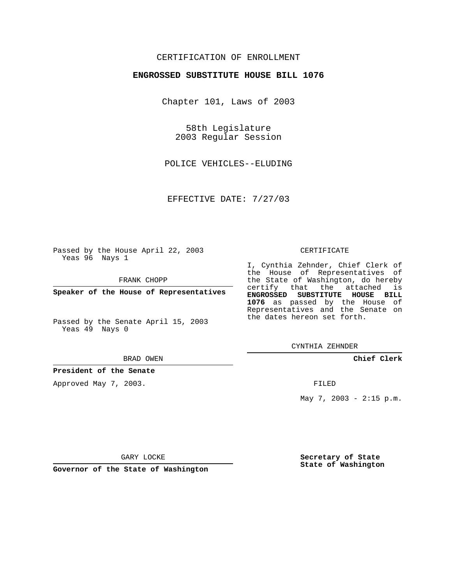## CERTIFICATION OF ENROLLMENT

### **ENGROSSED SUBSTITUTE HOUSE BILL 1076**

Chapter 101, Laws of 2003

58th Legislature 2003 Regular Session

POLICE VEHICLES--ELUDING

EFFECTIVE DATE: 7/27/03

Passed by the House April 22, 2003 Yeas 96 Nays 1

FRANK CHOPP

**Speaker of the House of Representatives**

Passed by the Senate April 15, 2003 Yeas 49 Nays 0

#### BRAD OWEN

**President of the Senate**

Approved May 7, 2003.

#### CERTIFICATE

I, Cynthia Zehnder, Chief Clerk of the House of Representatives of the State of Washington, do hereby certify that the attached is **ENGROSSED SUBSTITUTE HOUSE BILL 1076** as passed by the House of Representatives and the Senate on the dates hereon set forth.

CYNTHIA ZEHNDER

**Chief Clerk**

FILED

May 7, 2003 - 2:15 p.m.

GARY LOCKE

**Governor of the State of Washington**

**Secretary of State State of Washington**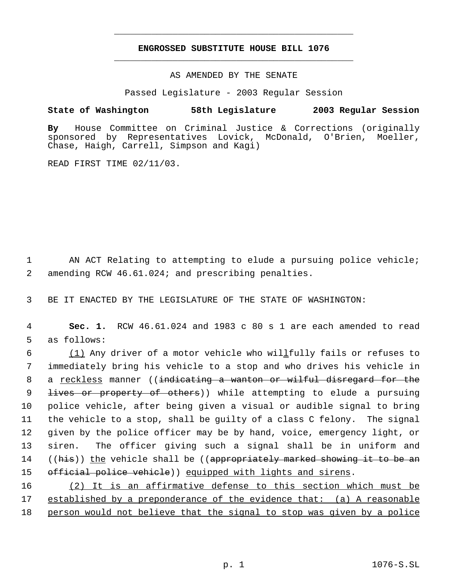# **ENGROSSED SUBSTITUTE HOUSE BILL 1076** \_\_\_\_\_\_\_\_\_\_\_\_\_\_\_\_\_\_\_\_\_\_\_\_\_\_\_\_\_\_\_\_\_\_\_\_\_\_\_\_\_\_\_\_\_

\_\_\_\_\_\_\_\_\_\_\_\_\_\_\_\_\_\_\_\_\_\_\_\_\_\_\_\_\_\_\_\_\_\_\_\_\_\_\_\_\_\_\_\_\_

AS AMENDED BY THE SENATE

Passed Legislature - 2003 Regular Session

### **State of Washington 58th Legislature 2003 Regular Session**

**By** House Committee on Criminal Justice & Corrections (originally sponsored by Representatives Lovick, McDonald, O'Brien, Moeller, Chase, Haigh, Carrell, Simpson and Kagi)

READ FIRST TIME 02/11/03.

1 AN ACT Relating to attempting to elude a pursuing police vehicle; 2 amending RCW 46.61.024; and prescribing penalties.

3 BE IT ENACTED BY THE LEGISLATURE OF THE STATE OF WASHINGTON:

 4 **Sec. 1.** RCW 46.61.024 and 1983 c 80 s 1 are each amended to read 5 as follows:

 6 (1) Any driver of a motor vehicle who willfully fails or refuses to 7 immediately bring his vehicle to a stop and who drives his vehicle in 8 a <u>reckless</u> manner ((indicating a wanton or wilful disregard for the 9 <del>lives or property of others</del>)) while attempting to elude a pursuing 10 police vehicle, after being given a visual or audible signal to bring 11 the vehicle to a stop, shall be guilty of a class C felony. The signal 12 given by the police officer may be by hand, voice, emergency light, or 13 siren. The officer giving such a signal shall be in uniform and 14 ((his)) the vehicle shall be ((appropriately marked showing it to be an 15 official police vehicle)) equipped with lights and sirens.

16 (2) It is an affirmative defense to this section which must be 17 established by a preponderance of the evidence that: (a) A reasonable 18 person would not believe that the signal to stop was given by a police